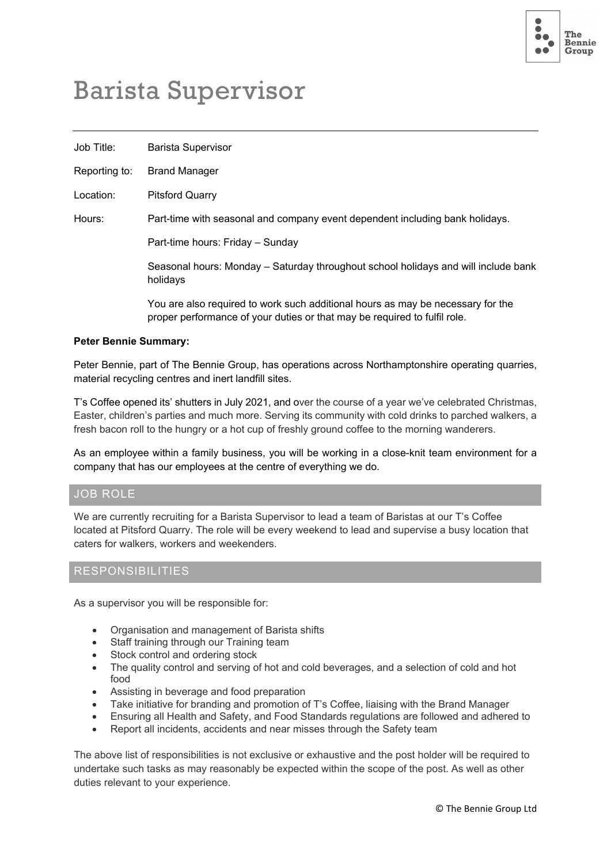

# Barista Supervisor

| Job Title:    | <b>Barista Supervisor</b>                                                                                                                                    |
|---------------|--------------------------------------------------------------------------------------------------------------------------------------------------------------|
| Reporting to: | <b>Brand Manager</b>                                                                                                                                         |
| Location:     | <b>Pitsford Quarry</b>                                                                                                                                       |
| Hours:        | Part-time with seasonal and company event dependent including bank holidays.                                                                                 |
|               | Part-time hours: Friday - Sunday                                                                                                                             |
|               | Seasonal hours: Monday – Saturday throughout school holidays and will include bank<br>holidays                                                               |
|               | You are also required to work such additional hours as may be necessary for the<br>proper performance of your duties or that may be required to fulfil role. |

#### **Peter Bennie Summary:**

Peter Bennie, part of The Bennie Group, has operations across Northamptonshire operating quarries, material recycling centres and inert landfill sites.

T's Coffee opened its' shutters in July 2021, and over the course of a year we've celebrated Christmas, Easter, children's parties and much more. Serving its community with cold drinks to parched walkers, a fresh bacon roll to the hungry or a hot cup of freshly ground coffee to the morning wanderers.

As an employee within a family business, you will be working in a close-knit team environment for a company that has our employees at the centre of everything we do.

#### JOB ROLE

We are currently recruiting for a Barista Supervisor to lead a team of Baristas at our T's Coffee located at Pitsford Quarry. The role will be every weekend to lead and supervise a busy location that caters for walkers, workers and weekenders.

### RESPONSIBILITIES

As a supervisor you will be responsible for:

- Organisation and management of Barista shifts
- Staff training through our Training team
- Stock control and ordering stock
- The quality control and serving of hot and cold beverages, and a selection of cold and hot food
- Assisting in beverage and food preparation
- Take initiative for branding and promotion of T's Coffee, liaising with the Brand Manager
- Ensuring all Health and Safety, and Food Standards regulations are followed and adhered to
- Report all incidents, accidents and near misses through the Safety team

The above list of responsibilities is not exclusive or exhaustive and the post holder will be required to undertake such tasks as may reasonably be expected within the scope of the post. As well as other duties relevant to your experience.